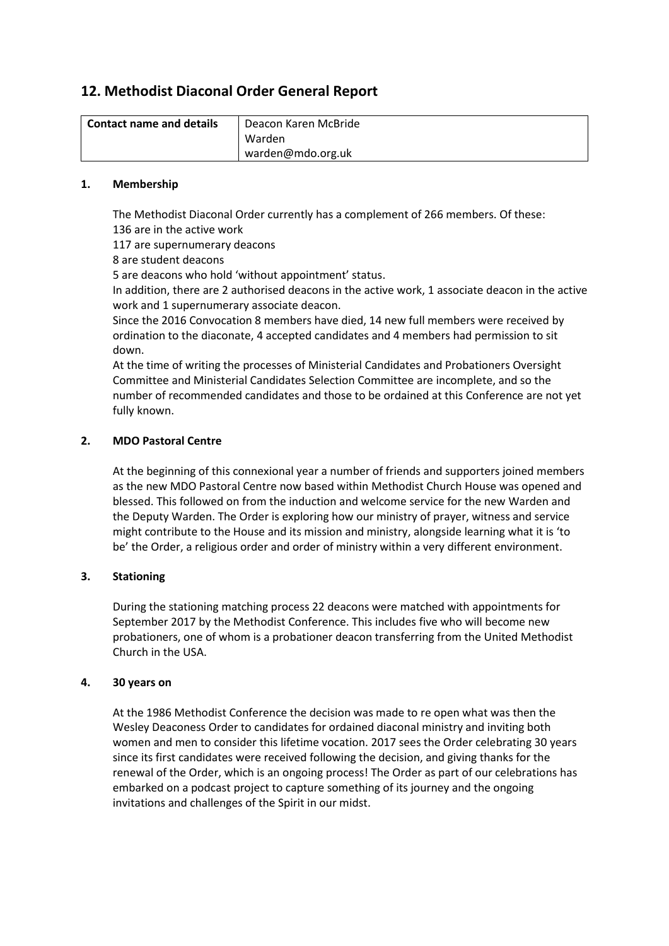# **12. Methodist Diaconal Order General Report**

| <b>Contact name and details</b> | Deacon Karen McBride<br>Warden |
|---------------------------------|--------------------------------|
|                                 | warden@mdo.org.uk              |

## **1. Membership**

The Methodist Diaconal Order currently has a complement of 266 members. Of these: 136 are in the active work

117 are supernumerary deacons

8 are student deacons

5 are deacons who hold 'without appointment' status.

In addition, there are 2 authorised deacons in the active work, 1 associate deacon in the active work and 1 supernumerary associate deacon.

Since the 2016 Convocation 8 members have died, 14 new full members were received by ordination to the diaconate, 4 accepted candidates and 4 members had permission to sit down.

At the time of writing the processes of Ministerial Candidates and Probationers Oversight Committee and Ministerial Candidates Selection Committee are incomplete, and so the number of recommended candidates and those to be ordained at this Conference are not yet fully known.

## **2. MDO Pastoral Centre**

At the beginning of this connexional year a number of friends and supporters joined members as the new MDO Pastoral Centre now based within Methodist Church House was opened and blessed. This followed on from the induction and welcome service for the new Warden and the Deputy Warden. The Order is exploring how our ministry of prayer, witness and service might contribute to the House and its mission and ministry, alongside learning what it is 'to be' the Order, a religious order and order of ministry within a very different environment.

### **3. Stationing**

During the stationing matching process 22 deacons were matched with appointments for September 2017 by the Methodist Conference. This includes five who will become new probationers, one of whom is a probationer deacon transferring from the United Methodist Church in the USA.

### **4. 30 years on**

At the 1986 Methodist Conference the decision was made to re open what was then the Wesley Deaconess Order to candidates for ordained diaconal ministry and inviting both women and men to consider this lifetime vocation. 2017 sees the Order celebrating 30 years since its first candidates were received following the decision, and giving thanks for the renewal of the Order, which is an ongoing process! The Order as part of our celebrations has embarked on a podcast project to capture something of its journey and the ongoing invitations and challenges of the Spirit in our midst.